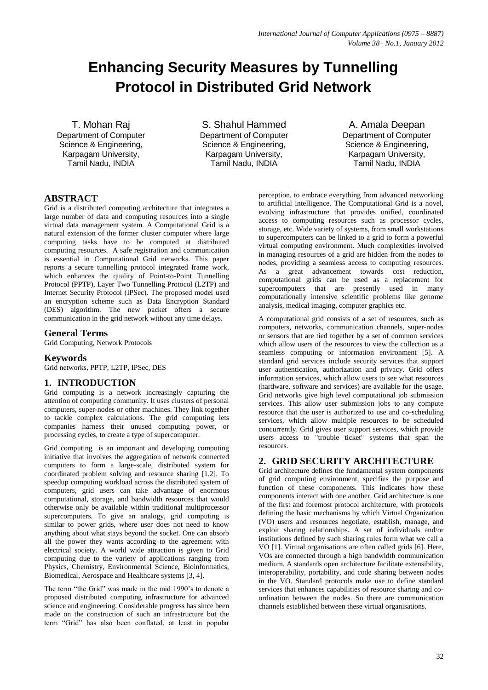# **Enhancing Security Measures by Tunnelling Protocol in Distributed Grid Network**

T. Mohan Raj Department of Computer Science & Engineering, Karpagam University, Tamil Nadu, INDIA

S. Shahul Hammed Department of Computer Science & Engineering, Karpagam University, Tamil Nadu, INDIA

A. Amala Deepan Department of Computer Science & Engineering, Karpagam University, Tamil Nadu, INDIA

# **ABSTRACT**

Grid is a distributed computing architecture that integrates a large number of data and computing resources into a single virtual data management system. A Computational Grid is a natural extension of the former cluster computer where large computing tasks have to be computed at distributed computing resources. A safe registration and communication is essential in Computational Grid networks. This paper reports a secure tunnelling protocol integrated frame work, which enhances the quality of Point-to-Point Tunnelling Protocol (PPTP), Layer Two Tunnelling Protocol (L2TP) and Internet Security Protocol (IPSec). The proposed model used an encryption scheme such as Data Encryption Standard (DES) algorithm. The new packet offers a secure communication in the grid network without any time delays.

## **General Terms**

Grid Computing, Network Protocols

#### **Keywords**

Grid networks, PPTP, L2TP, IPSec, DES

#### **1. INTRODUCTION**

Grid computing is a network increasingly capturing the attention of computing community. It uses clusters of personal computers, super-nodes or other machines. They link together to tackle complex calculations. The grid computing lets companies harness their unused computing power, or processing cycles, to create a type of supercomputer.

Grid computing is an important and developing computing initiative that involves the aggregation of network connected computers to form a large-scale, distributed system for coordinated problem solving and resource sharing [1,2]. To speedup computing workload across the distributed system of computers, grid users can take advantage of enormous computational, storage, and bandwidth resources that would otherwise only be available within traditional multiprocessor supercomputers. To give an analogy, grid computing is similar to power grids, where user does not need to know anything about what stays beyond the socket. One can absorb all the power they wants according to the agreement with electrical society. A world wide attraction is given to Grid computing due to the variety of applications ranging from Physics, Chemistry, Environmental Science, Bioinformatics, Biomedical, Aerospace and Healthcare systems [3, 4].

The term "the Grid" was made in the mid 1990's to denote a proposed distributed computing infrastructure for advanced science and engineering. Considerable progress has since been made on the construction of such an infrastructure but the term "Grid" has also been conflated, at least in popular

perception, to embrace everything from advanced networking to artificial intelligence. The Computational Grid is a novel, evolving infrastructure that provides unified, coordinated access to computing resources such as processor cycles, storage, etc. Wide variety of systems, from small workstations to supercomputers can be linked to a grid to form a powerful virtual computing environment. Much complexities involved in managing resources of a grid are hidden from the nodes to nodes, providing a seamless access to computing resources. As a great advancement towards cost reduction, computational grids can be used as a replacement for supercomputers that are presently used in many computationally intensive scientific problems like genome analysis, medical imaging, computer graphics etc.

A computational grid consists of a set of resources, such as computers, networks, communication channels, super-nodes or sensors that are tied together by a set of common services which allow users of the resources to view the collection as a seamless computing or information environment [5]. A standard grid services include security services that support user authentication, authorization and privacy. Grid offers information services, which allow users to see what resources (hardware, software and services) are available for the usage. Grid networks give high level computational job submission services. This allow user submission jobs to any compute resource that the user is authorized to use and co-scheduling services, which allow multiple resources to be scheduled concurrently. Grid gives user support services, which provide users access to "trouble ticket" systems that span the resources.

## **2. GRID SECURITY ARCHITECTURE**

Grid architecture defines the fundamental system components of grid computing environment, specifies the purpose and function of these components. This indicates how these components interact with one another. Grid architecture is one of the first and foremost protocol architecture, with protocols defining the basic mechanisms by which Virtual Organization (VO) users and resources negotiate, establish, manage, and exploit sharing relationships. A set of individuals and/or institutions defined by such sharing rules form what we call a VO [1]. Virtual organisations are often called grids [6]. Here, VOs are connected through a high bandwidth communication medium. A standards open architecture facilitate extensibility, interoperability, portability, and code sharing between nodes in the VO. Standard protocols make use to define standard services that enhances capabilities of resource sharing and coordination between the nodes. So there are communication channels established between these virtual organisations.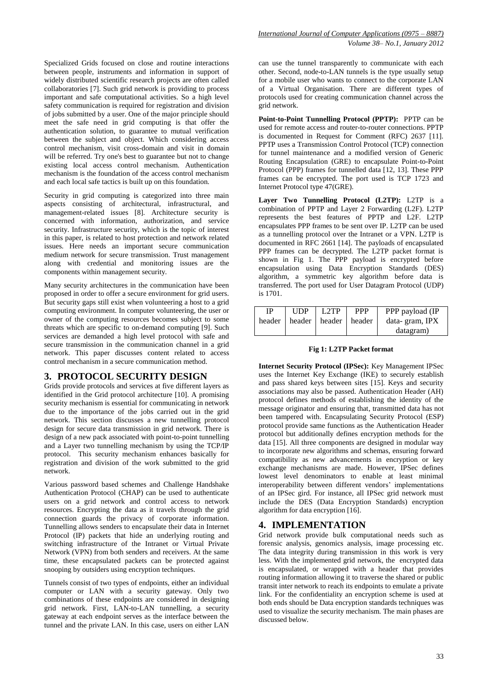Specialized Grids focused on close and routine interactions between people, instruments and information in support of widely distributed scientific research projects are often called collaboratories [7]. Such grid network is providing to process important and safe computational activities. So a high level safety communication is required for registration and division of jobs submitted by a user. One of the major principle should meet the safe need in grid computing is that offer the authentication solution, to guarantee to mutual verification between the subject and object. Which considering access control mechanism, visit cross-domain and visit in domain will be referred. Try one's best to guarantee but not to change existing local access control mechanism. Authentication mechanism is the foundation of the access control mechanism and each local safe tactics is built up on this foundation.

Security in grid computing is categorized into three main aspects consisting of architectural, infrastructural, and management-related issues [8]. Architecture security is concerned with information, authorization, and service security. Infrastructure security, which is the topic of interest in this paper, is related to host protection and network related issues. Here needs an important secure communication medium network for secure transmission. Trust management along with credential and monitoring issues are the components within management security.

Many security architectures in the communication have been proposed in order to offer a secure environment for grid users. But security gaps still exist when volunteering a host to a grid computing environment. In computer volunteering, the user or owner of the computing resources becomes subject to some threats which are specific to on-demand computing [9]. Such services are demanded a high level protocol with safe and secure transmission in the communication channel in a grid network. This paper discusses content related to access control mechanism in a secure communication method.

#### **3. PROTOCOL SECURITY DESIGN**

Grids provide protocols and services at five different layers as identified in the Grid protocol architecture [10]. A promising security mechanism is essential for communicating in network due to the importance of the jobs carried out in the grid network. This section discusses a new tunnelling protocol design for secure data transmission in grid network. There is design of a new pack associated with point-to-point tunnelling and a Layer two tunnelling mechanism by using the TCP/IP protocol. This security mechanism enhances basically for registration and division of the work submitted to the grid network.

Various password based schemes and Challenge Handshake Authentication Protocol (CHAP) can be used to authenticate users on a grid network and control access to network resources. Encrypting the data as it travels through the grid connection guards the privacy of corporate information. Tunnelling allows senders to encapsulate their data in Internet Protocol (IP) packets that hide an underlying routing and switching infrastructure of the Intranet or Virtual Private Network (VPN) from both senders and receivers. At the same time, these encapsulated packets can be protected against snooping by outsiders using encryption techniques.

Tunnels consist of two types of endpoints, either an individual computer or LAN with a security gateway. Only two combinations of these endpoints are considered in designing grid network. First, LAN-to-LAN tunnelling, a security gateway at each endpoint serves as the interface between the tunnel and the private LAN. In this case, users on either LAN

can use the tunnel transparently to communicate with each other. Second, node-to-LAN tunnels is the type usually setup for a mobile user who wants to connect to the corporate LAN of a Virtual Organisation. There are different types of protocols used for creating communication channel across the grid network.

**Point-to-Point Tunnelling Protocol (PPTP):** PPTP can be used for remote access and router-to-router connections. PPTP is documented in Request for Comment (RFC) 2637 [11]. PPTP uses a Transmission Control Protocol (TCP) connection for tunnel maintenance and a modified version of Generic Routing Encapsulation (GRE) to encapsulate Point-to-Point Protocol (PPP) frames for tunnelled data [12, 13]. These PPP frames can be encrypted. The port used is TCP 1723 and Internet Protocol type 47(GRE).

**Layer Two Tunnelling Protocol (L2TP):** L2TP is a combination of PPTP and Layer 2 Forwarding (L2F). L2TP represents the best features of PPTP and L2F. L2TP encapsulates PPP frames to be sent over IP. L2TP can be used as a tunnelling protocol over the Intranet or a VPN. L2TP is documented in RFC 2661 [14]. The payloads of encapsulated PPP frames can be decrypted. The L2TP packet format is shown in Fig 1. The PPP payload is encrypted before encapsulation using Data Encryption Standards (DES) algorithm, a symmetric key algorithm before data is transferred. The port used for User Datagram Protocol (UDP) is 1701.

| IP     | <b>UDP</b> | L2TP                     | <b>PPP</b> | PPP payload (IP |
|--------|------------|--------------------------|------------|-----------------|
| header |            | header   header   header |            | data-gram, IPX  |
|        |            |                          |            | datagram)       |

#### **Fig 1: L2TP Packet format**

**Internet Security Protocol (IPSec):** Key Management IPSec uses the Internet Key Exchange (IKE) to securely establish and pass shared keys between sites [15]. Keys and security associations may also be passed. Authentication Header (AH) protocol defines methods of establishing the identity of the message originator and ensuring that, transmitted data has not been tampered with. Encapsulating Security Protocol (ESP) protocol provide same functions as the Authentication Header protocol but additionally defines encryption methods for the data [15]. All three components are designed in modular way to incorporate new algorithms and schemas, ensuring forward compatibility as new advancements in encryption or key exchange mechanisms are made. However, IPSec defines lowest level denominators to enable at least minimal interoperability between different vendors' implementations of an IPSec gird. For instance, all IPSec grid network must include the DES (Data Encryption Standards) encryption algorithm for data encryption [16].

# **4. IMPLEMENTATION**

Grid network provide bulk computational needs such as forensic analysis, genomics analysis, image processing etc. The data integrity during transmission in this work is very less. With the implemented grid network, the encrypted data is encapsulated, or wrapped with a header that provides routing information allowing it to traverse the shared or public transit inter network to reach its endpoints to emulate a private link. For the confidentiality an encryption scheme is used at both ends should be Data encryption standards techniques was used to visualize the security mechanism. The main phases are discussed below.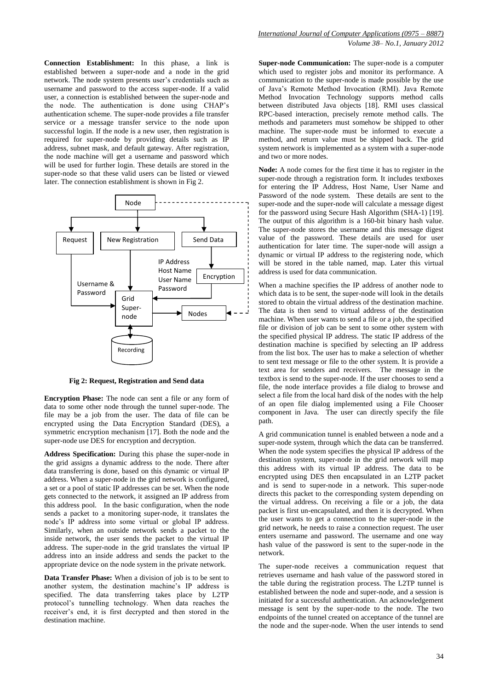**Connection Establishment:** In this phase, a link is established between a super-node and a node in the grid network. The node system presents user's credentials such as username and password to the access super-node. If a valid user, a connection is established between the super-node and the node. The authentication is done using CHAP's authentication scheme. The super-node provides a file transfer service or a message transfer service to the node upon successful login. If the node is a new user, then registration is required for super-node by providing details such as IP address, subnet mask, and default gateway. After registration, the node machine will get a username and password which will be used for further login. These details are stored in the super-node so that these valid users can be listed or viewed later. The connection establishment is shown in Fig 2.



**Fig 2: Request, Registration and Send data**

**Encryption Phase:** The node can sent a file or any form of data to some other node through the tunnel super-node. The file may be a job from the user. The data of file can be encrypted using the Data Encryption Standard (DES), a symmetric encryption mechanism [17]. Both the node and the super-node use DES for encryption and decryption.

**Address Specification:** During this phase the super-node in the grid assigns a dynamic address to the node. There after data transferring is done, based on this dynamic or virtual IP address. When a super-node in the grid network is configured, a set or a pool of static IP addresses can be set. When the node gets connected to the network, it assigned an IP address from this address pool. In the basic configuration, when the node sends a packet to a monitoring super-node, it translates the node's IP address into some virtual or global IP address. Similarly, when an outside network sends a packet to the inside network, the user sends the packet to the virtual IP address. The super-node in the grid translates the virtual IP address into an inside address and sends the packet to the appropriate device on the node system in the private network.

**Data Transfer Phase:** When a division of job is to be sent to another system, the destination machine's IP address is specified. The data transferring takes place by L2TP protocol's tunnelling technology. When data reaches the receiver's end, it is first decrypted and then stored in the destination machine.

**Super-node Communication:** The super-node is a computer which used to register jobs and monitor its performance. A communication to the super-node is made possible by the use of Java's Remote Method Invocation (RMI). Java Remote Method Invocation Technology supports method calls between distributed Java objects [18]. RMI uses classical RPC-based interaction, precisely remote method calls. The methods and parameters must somehow be shipped to other machine. The super-node must be informed to execute a method, and return value must be shipped back. The grid system network is implemented as a system with a super-node and two or more nodes.

**Node:** A node comes for the first time it has to register in the super-node through a registration form. It includes textboxes for entering the IP Address, Host Name, User Name and Password of the node system. These details are sent to the super-node and the super-node will calculate a message digest for the password using Secure Hash Algorithm (SHA-1) [19]. The output of this algorithm is a 160-bit binary hash value. The super-node stores the username and this message digest value of the password. These details are used for user authentication for later time. The super-node will assign a dynamic or virtual IP address to the registering node, which will be stored in the table named, map. Later this virtual address is used for data communication.

When a machine specifies the IP address of another node to which data is to be sent, the super-node will look in the details stored to obtain the virtual address of the destination machine. The data is then send to virtual address of the destination machine. When user wants to send a file or a job, the specified file or division of job can be sent to some other system with the specified physical IP address. The static IP address of the destination machine is specified by selecting an IP address from the list box. The user has to make a selection of whether to sent text message or file to the other system. It is provide a text area for senders and receivers. The message in the textbox is send to the super-node. If the user chooses to send a file, the node interface provides a file dialog to browse and select a file from the local hard disk of the nodes with the help of an open file dialog implemented using a File Chooser component in Java. The user can directly specify the file path.

A grid communication tunnel is enabled between a node and a super-node system, through which the data can be transferred. When the node system specifies the physical IP address of the destination system, super-node in the grid network will map this address with its virtual IP address. The data to be encrypted using DES then encapsulated in an L2TP packet and is send to super-node in a network. This super-node directs this packet to the corresponding system depending on the virtual address. On receiving a file or a job, the data packet is first un-encapsulated, and then it is decrypted. When the user wants to get a connection to the super-node in the grid network, he needs to raise a connection request. The user enters username and password. The username and one way hash value of the password is sent to the super-node in the network.

The super-node receives a communication request that retrieves username and hash value of the password stored in the table during the registration process. The L2TP tunnel is established between the node and super-node, and a session is initiated for a successful authentication. An acknowledgement message is sent by the super-node to the node. The two endpoints of the tunnel created on acceptance of the tunnel are the node and the super-node. When the user intends to send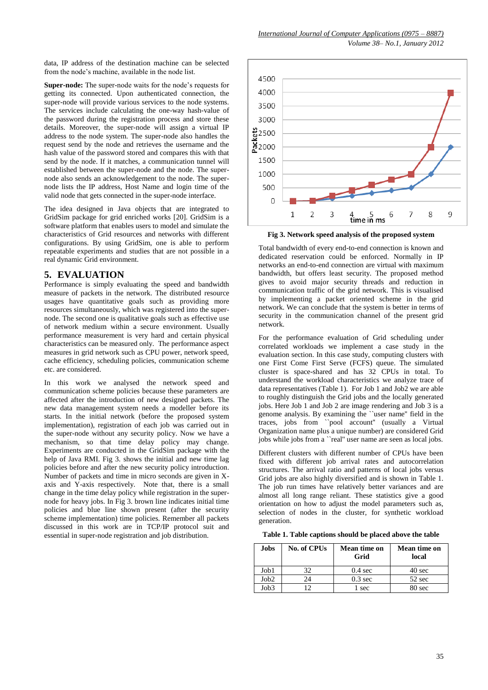data, IP address of the destination machine can be selected from the node's machine, available in the node list.

**Super-node:** The super-node waits for the node's requests for getting its connected. Upon authenticated connection, the super-node will provide various services to the node systems. The services include calculating the one-way hash-value of the password during the registration process and store these details. Moreover, the super-node will assign a virtual IP address to the node system. The super-node also handles the request send by the node and retrieves the username and the hash value of the password stored and compares this with that send by the node. If it matches, a communication tunnel will established between the super-node and the node. The supernode also sends an acknowledgement to the node. The supernode lists the IP address, Host Name and login time of the valid node that gets connected in the super-node interface.

The idea designed in Java objects that are integrated to GridSim package for grid enriched works [20]. GridSim is a software platform that enables users to model and simulate the characteristics of Grid resources and networks with different configurations. By using GridSim, one is able to perform repeatable experiments and studies that are not possible in a real dynamic Grid environment.

# **5. EVALUATION**

Performance is simply evaluating the speed and bandwidth measure of packets in the network. The distributed resource usages have quantitative goals such as providing more resources simultaneously, which was registered into the supernode. The second one is qualitative goals such as effective use of network medium within a secure environment. Usually performance measurement is very hard and certain physical characteristics can be measured only. The performance aspect measures in grid network such as CPU power, network speed, cache efficiency, scheduling policies, communication scheme etc. are considered.

In this work we analysed the network speed and communication scheme policies because these parameters are affected after the introduction of new designed packets. The new data management system needs a modeller before its starts. In the initial network (before the proposed system implementation), registration of each job was carried out in the super-node without any security policy. Now we have a mechanism, so that time delay policy may change. Experiments are conducted in the GridSim package with the help of Java RMI. Fig 3. shows the initial and new time lag policies before and after the new security policy introduction. Number of packets and time in micro seconds are given in Xaxis and Y-axis respectively. Note that, there is a small change in the time delay policy while registration in the supernode for heavy jobs. In Fig 3. brown line indicates initial time policies and blue line shown present (after the security scheme implementation) time policies. Remember all packets discussed in this work are in TCP/IP protocol suit and essential in super-node registration and job distribution.



**Fig 3. Network speed analysis of the proposed system**

Total bandwidth of every end-to-end connection is known and dedicated reservation could be enforced. Normally in IP networks an end-to-end connection are virtual with maximum bandwidth, but offers least security. The proposed method gives to avoid major security threads and reduction in communication traffic of the grid network. This is visualised by implementing a packet oriented scheme in the grid network. We can conclude that the system is better in terms of security in the communication channel of the present grid network.

For the performance evaluation of Grid scheduling under correlated workloads we implement a case study in the evaluation section. In this case study, computing clusters with one First Come First Serve (FCFS) queue. The simulated cluster is space-shared and has 32 CPUs in total. To understand the workload characteristics we analyze trace of data representatives (Table 1). For Job 1 and Job2 we are able to roughly distinguish the Grid jobs and the locally generated jobs. Here Job 1 and Job 2 are image rendering and Job 3 is a genome analysis. By examining the ``user name'' field in the traces, jobs from ``pool account'' (usually a Virtual Organization name plus a unique number) are considered Grid jobs while jobs from a ``real'' user name are seen as local jobs.

Different clusters with different number of CPUs have been fixed with different job arrival rates and autocorrelation structures. The arrival ratio and patterns of local jobs versus Grid jobs are also highly diversified and is shown in Table 1. The job run times have relatively better variances and are almost all long range reliant. These statistics give a good orientation on how to adjust the model parameters such as, selection of nodes in the cluster, for synthetic workload generation.

**Table 1. Table captions should be placed above the table**

| <b>Jobs</b> | <b>No. of CPUs</b> | Mean time on<br>Grid | Mean time on<br>local |
|-------------|--------------------|----------------------|-----------------------|
| Job1        | 32                 | $0.4 \text{ sec}$    | 40 sec                |
| Job2        | 24                 | $0.3 \text{ sec}$    | 52 sec                |
| Job3        | ◯                  | sec                  | 80 sec                |